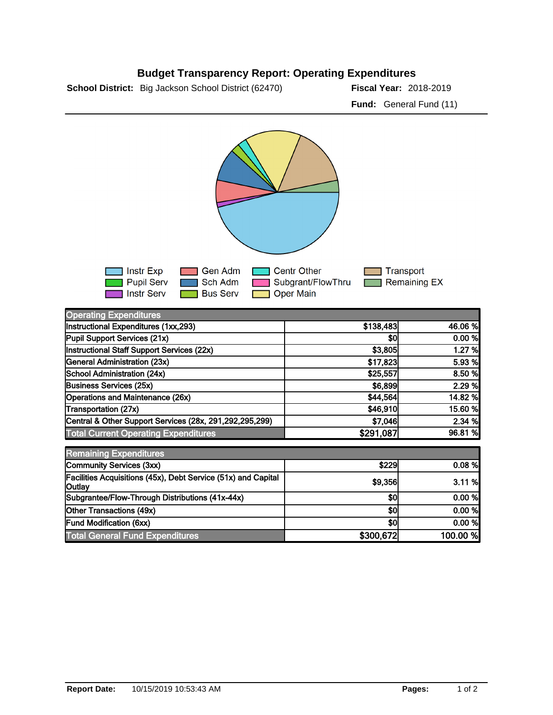## **Budget Transparency Report: Operating Expenditures**

**School District:** Big Jackson School District (62470) **2018-2019 Fiscal Year:** 2018-2019

**Fund:** General Fund (11)



| <b>Operating Expenditures</b>                                           |           |          |
|-------------------------------------------------------------------------|-----------|----------|
| Instructional Expenditures (1xx,293)                                    | \$138,483 | 46.06 %  |
| Pupil Support Services (21x)                                            | \$0       | 0.00 %   |
| Instructional Staff Support Services (22x)                              | \$3,805   | 1.27 %   |
| General Administration (23x)                                            | \$17,823  | 5.93 %   |
| School Administration (24x)                                             | \$25,557  | 8.50 %   |
| <b>Business Services (25x)</b>                                          | \$6,899   | 2.29 %   |
| Operations and Maintenance (26x)                                        | \$44,564  | 14.82 %  |
| Transportation (27x)                                                    | \$46,910  | 15.60 %  |
| Central & Other Support Services (28x, 291,292,295,299)                 | \$7,046   | 2.34 %   |
| <b>Total Current Operating Expenditures</b>                             | \$291,087 | 96.81 %  |
| <b>Remaining Expenditures</b>                                           |           |          |
| Community Services (3xx)                                                | \$229     | 0.08%    |
| Facilities Acquisitions (45x), Debt Service (51x) and Capital<br>Outlay | \$9,356   | 3.11%    |
| Subgrantee/Flow-Through Distributions (41x-44x)                         | \$0       | 0.00 %   |
| Other Transactions (49x)                                                | \$0       | 0.00 %   |
| <b>Fund Modification (6xx)</b>                                          | \$0       | 0.00%    |
| <b>Total General Fund Expenditures</b>                                  | \$300,672 | 100.00 % |